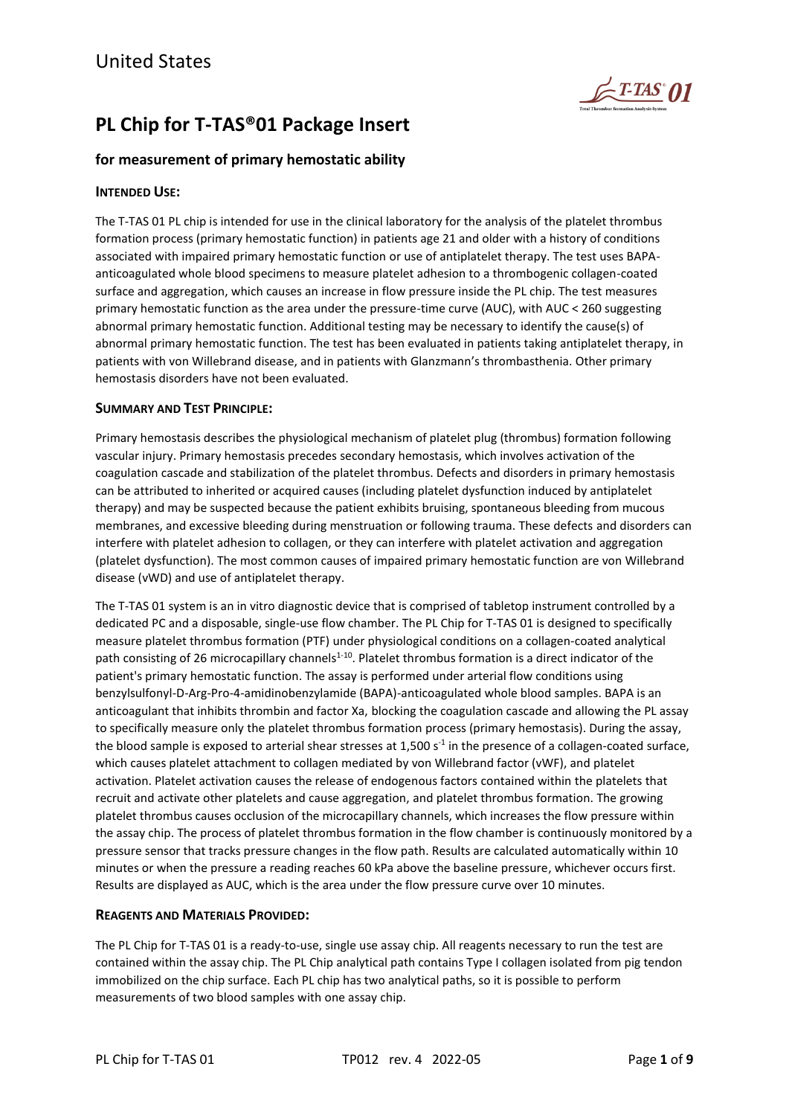

# **PL Chip for T-TAS®01 Package Insert**

# **for measurement of primary hemostatic ability**

# **INTENDED USE:**

The T-TAS 01 PL chip is intended for use in the clinical laboratory for the analysis of the platelet thrombus formation process (primary hemostatic function) in patients age 21 and older with a history of conditions associated with impaired primary hemostatic function or use of antiplatelet therapy. The test uses BAPAanticoagulated whole blood specimens to measure platelet adhesion to a thrombogenic collagen-coated surface and aggregation, which causes an increase in flow pressure inside the PL chip. The test measures primary hemostatic function as the area under the pressure-time curve (AUC), with AUC < 260 suggesting abnormal primary hemostatic function. Additional testing may be necessary to identify the cause(s) of abnormal primary hemostatic function. The test has been evaluated in patients taking antiplatelet therapy, in patients with von Willebrand disease, and in patients with Glanzmann's thrombasthenia. Other primary hemostasis disorders have not been evaluated.

# **SUMMARY AND TEST PRINCIPLE:**

Primary hemostasis describes the physiological mechanism of platelet plug (thrombus) formation following vascular injury. Primary hemostasis precedes secondary hemostasis, which involves activation of the coagulation cascade and stabilization of the platelet thrombus. Defects and disorders in primary hemostasis can be attributed to inherited or acquired causes (including platelet dysfunction induced by antiplatelet therapy) and may be suspected because the patient exhibits bruising, spontaneous bleeding from mucous membranes, and excessive bleeding during menstruation or following trauma. These defects and disorders can interfere with platelet adhesion to collagen, or they can interfere with platelet activation and aggregation (platelet dysfunction). The most common causes of impaired primary hemostatic function are von Willebrand disease (vWD) and use of antiplatelet therapy.

The T-TAS 01 system is an in vitro diagnostic device that is comprised of tabletop instrument controlled by a dedicated PC and a disposable, single-use flow chamber. The PL Chip for T-TAS 01 is designed to specifically measure platelet thrombus formation (PTF) under physiological conditions on a collagen-coated analytical path consisting of 26 microcapillary channels<sup>1-10</sup>. Platelet thrombus formation is a direct indicator of the patient's primary hemostatic function. The assay is performed under arterial flow conditions using benzylsulfonyl-D-Arg-Pro-4-amidinobenzylamide (BAPA)-anticoagulated whole blood samples. BAPA is an anticoagulant that inhibits thrombin and factor Xa, blocking the coagulation cascade and allowing the PL assay to specifically measure only the platelet thrombus formation process (primary hemostasis). During the assay, the blood sample is exposed to arterial shear stresses at 1,500 s<sup>-1</sup> in the presence of a collagen-coated surface, which causes platelet attachment to collagen mediated by von Willebrand factor (vWF), and platelet activation. Platelet activation causes the release of endogenous factors contained within the platelets that recruit and activate other platelets and cause aggregation, and platelet thrombus formation. The growing platelet thrombus causes occlusion of the microcapillary channels, which increases the flow pressure within the assay chip. The process of platelet thrombus formation in the flow chamber is continuously monitored by a pressure sensor that tracks pressure changes in the flow path. Results are calculated automatically within 10 minutes or when the pressure a reading reaches 60 kPa above the baseline pressure, whichever occurs first. Results are displayed as AUC, which is the area under the flow pressure curve over 10 minutes.

# **REAGENTS AND MATERIALS PROVIDED:**

The PL Chip for T-TAS 01 is a ready-to-use, single use assay chip. All reagents necessary to run the test are contained within the assay chip. The PL Chip analytical path contains Type I collagen isolated from pig tendon immobilized on the chip surface. Each PL chip has two analytical paths, so it is possible to perform measurements of two blood samples with one assay chip.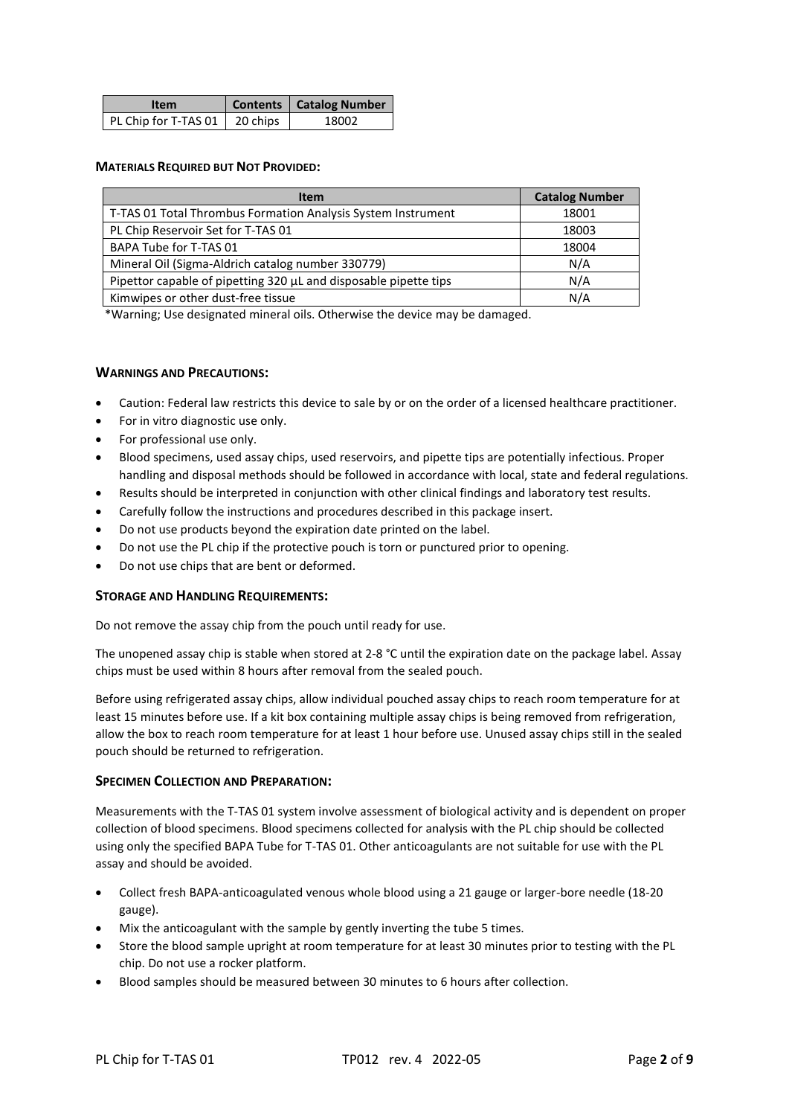| <b>Item</b>                   | Contents   Catalog Number |
|-------------------------------|---------------------------|
| PL Chip for T-TAS 01 20 chips | 18002                     |

#### **MATERIALS REQUIRED BUT NOT PROVIDED:**

| <b>Item</b>                                                      | <b>Catalog Number</b> |
|------------------------------------------------------------------|-----------------------|
| T-TAS 01 Total Thrombus Formation Analysis System Instrument     | 18001                 |
| PL Chip Reservoir Set for T-TAS 01                               | 18003                 |
| BAPA Tube for T-TAS 01                                           | 18004                 |
| Mineral Oil (Sigma-Aldrich catalog number 330779)                | N/A                   |
| Pipettor capable of pipetting 320 µL and disposable pipette tips | N/A                   |
| Kimwipes or other dust-free tissue                               | N/A                   |

\*Warning; Use designated mineral oils. Otherwise the device may be damaged.

# **WARNINGS AND PRECAUTIONS:**

- Caution: Federal law restricts this device to sale by or on the order of a licensed healthcare practitioner.
- For in vitro diagnostic use only.
- For professional use only.
- Blood specimens, used assay chips, used reservoirs, and pipette tips are potentially infectious. Proper handling and disposal methods should be followed in accordance with local, state and federal regulations.
- Results should be interpreted in conjunction with other clinical findings and laboratory test results.
- Carefully follow the instructions and procedures described in this package insert.
- Do not use products beyond the expiration date printed on the label.
- Do not use the PL chip if the protective pouch is torn or punctured prior to opening.
- Do not use chips that are bent or deformed.

#### **STORAGE AND HANDLING REQUIREMENTS:**

Do not remove the assay chip from the pouch until ready for use.

The unopened assay chip is stable when stored at 2-8 °C until the expiration date on the package label. Assay chips must be used within 8 hours after removal from the sealed pouch.

Before using refrigerated assay chips, allow individual pouched assay chips to reach room temperature for at least 15 minutes before use. If a kit box containing multiple assay chips is being removed from refrigeration, allow the box to reach room temperature for at least 1 hour before use. Unused assay chips still in the sealed pouch should be returned to refrigeration.

#### **SPECIMEN COLLECTION AND PREPARATION:**

Measurements with the T-TAS 01 system involve assessment of biological activity and is dependent on proper collection of blood specimens. Blood specimens collected for analysis with the PL chip should be collected using only the specified BAPA Tube for T-TAS 01. Other anticoagulants are not suitable for use with the PL assay and should be avoided.

- Collect fresh BAPA-anticoagulated venous whole blood using a 21 gauge or larger-bore needle (18-20 gauge).
- Mix the anticoagulant with the sample by gently inverting the tube 5 times.
- Store the blood sample upright at room temperature for at least 30 minutes prior to testing with the PL chip. Do not use a rocker platform.
- Blood samples should be measured between 30 minutes to 6 hours after collection.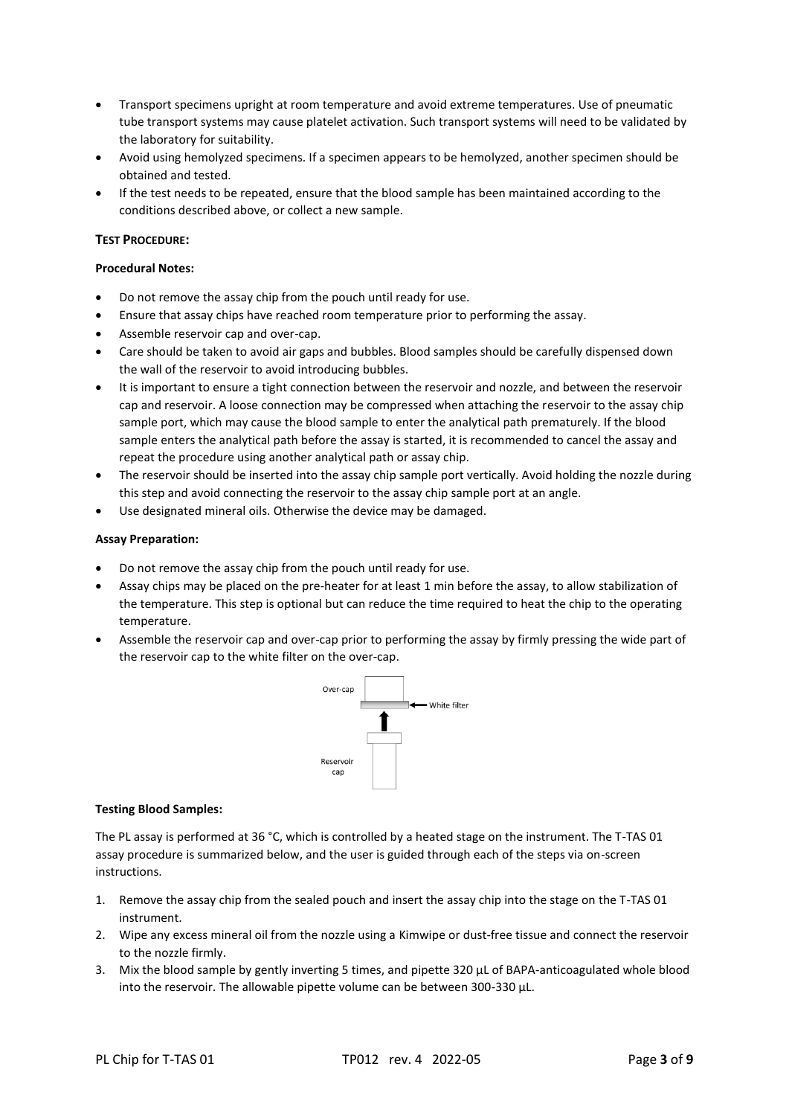- Transport specimens upright at room temperature and avoid extreme temperatures. Use of pneumatic tube transport systems may cause platelet activation. Such transport systems will need to be validated by the laboratory for suitability.
- Avoid using hemolyzed specimens. If a specimen appears to be hemolyzed, another specimen should be obtained and tested.
- If the test needs to be repeated, ensure that the blood sample has been maintained according to the conditions described above, or collect a new sample.

#### **TEST PROCEDURE:**

#### **Procedural Notes:**

- Do not remove the assay chip from the pouch until ready for use.
- Ensure that assay chips have reached room temperature prior to performing the assay.
- Assemble reservoir cap and over-cap.
- Care should be taken to avoid air gaps and bubbles. Blood samples should be carefully dispensed down the wall of the reservoir to avoid introducing bubbles.
- It is important to ensure a tight connection between the reservoir and nozzle, and between the reservoir cap and reservoir. A loose connection may be compressed when attaching the reservoir to the assay chip sample port, which may cause the blood sample to enter the analytical path prematurely. If the blood sample enters the analytical path before the assay is started, it is recommended to cancel the assay and repeat the procedure using another analytical path or assay chip.
- The reservoir should be inserted into the assay chip sample port vertically. Avoid holding the nozzle during this step and avoid connecting the reservoir to the assay chip sample port at an angle.
- Use designated mineral oils. Otherwise the device may be damaged.

#### **Assay Preparation:**

- Do not remove the assay chip from the pouch until ready for use.
- Assay chips may be placed on the pre-heater for at least 1 min before the assay, to allow stabilization of the temperature. This step is optional but can reduce the time required to heat the chip to the operating temperature.
- Assemble the reservoir cap and over-cap prior to performing the assay by firmly pressing the wide part of the reservoir cap to the white filter on the over-cap.



#### **Testing Blood Samples:**

The PL assay is performed at 36 °C, which is controlled by a heated stage on the instrument. The T-TAS 01 assay procedure is summarized below, and the user is guided through each of the steps via on-screen instructions.

- 1. Remove the assay chip from the sealed pouch and insert the assay chip into the stage on the T-TAS 01 instrument.
- 2. Wipe any excess mineral oil from the nozzle using a Kimwipe or dust-free tissue and connect the reservoir to the nozzle firmly.
- 3. Mix the blood sample by gently inverting 5 times, and pipette 320 μL of BAPA-anticoagulated whole blood into the reservoir. The allowable pipette volume can be between 300-330 μL.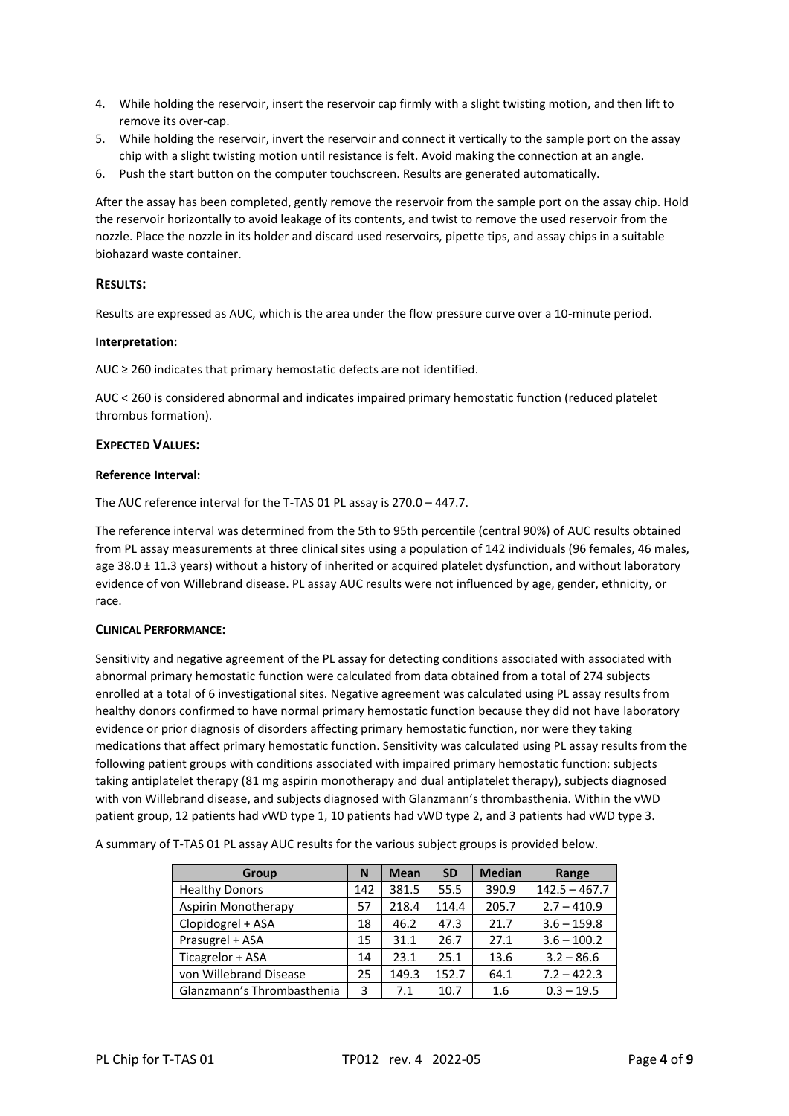- 4. While holding the reservoir, insert the reservoir cap firmly with a slight twisting motion, and then lift to remove its over-cap.
- 5. While holding the reservoir, invert the reservoir and connect it vertically to the sample port on the assay chip with a slight twisting motion until resistance is felt. Avoid making the connection at an angle.
- 6. Push the start button on the computer touchscreen. Results are generated automatically.

After the assay has been completed, gently remove the reservoir from the sample port on the assay chip. Hold the reservoir horizontally to avoid leakage of its contents, and twist to remove the used reservoir from the nozzle. Place the nozzle in its holder and discard used reservoirs, pipette tips, and assay chips in a suitable biohazard waste container.

#### **RESULTS:**

Results are expressed as AUC, which is the area under the flow pressure curve over a 10-minute period.

#### **Interpretation:**

AUC ≥ 260 indicates that primary hemostatic defects are not identified.

AUC < 260 is considered abnormal and indicates impaired primary hemostatic function (reduced platelet thrombus formation).

#### **EXPECTED VALUES:**

#### **Reference Interval:**

The AUC reference interval for the T-TAS 01 PL assay is 270.0 – 447.7.

The reference interval was determined from the 5th to 95th percentile (central 90%) of AUC results obtained from PL assay measurements at three clinical sites using a population of 142 individuals (96 females, 46 males, age 38.0 ± 11.3 years) without a history of inherited or acquired platelet dysfunction, and without laboratory evidence of von Willebrand disease. PL assay AUC results were not influenced by age, gender, ethnicity, or race.

#### **CLINICAL PERFORMANCE:**

Sensitivity and negative agreement of the PL assay for detecting conditions associated with associated with abnormal primary hemostatic function were calculated from data obtained from a total of 274 subjects enrolled at a total of 6 investigational sites. Negative agreement was calculated using PL assay results from healthy donors confirmed to have normal primary hemostatic function because they did not have laboratory evidence or prior diagnosis of disorders affecting primary hemostatic function, nor were they taking medications that affect primary hemostatic function. Sensitivity was calculated using PL assay results from the following patient groups with conditions associated with impaired primary hemostatic function: subjects taking antiplatelet therapy (81 mg aspirin monotherapy and dual antiplatelet therapy), subjects diagnosed with von Willebrand disease, and subjects diagnosed with Glanzmann's thrombasthenia. Within the vWD patient group, 12 patients had vWD type 1, 10 patients had vWD type 2, and 3 patients had vWD type 3.

A summary of T-TAS 01 PL assay AUC results for the various subject groups is provided below.

| Group                      | N   | <b>Mean</b> | <b>SD</b> | <b>Median</b> | Range           |
|----------------------------|-----|-------------|-----------|---------------|-----------------|
| <b>Healthy Donors</b>      | 142 | 381.5       | 55.5      | 390.9         | $142.5 - 467.7$ |
| Aspirin Monotherapy        | 57  | 218.4       | 114.4     | 205.7         | $2.7 - 410.9$   |
| Clopidogrel + ASA          | 18  | 46.2        | 47.3      | 21.7          | $3.6 - 159.8$   |
| Prasugrel + ASA            | 15  | 31.1        | 26.7      | 27.1          | $3.6 - 100.2$   |
| Ticagrelor + ASA           | 14  | 23.1        | 25.1      | 13.6          | $3.2 - 86.6$    |
| von Willebrand Disease     | 25  | 149.3       | 152.7     | 64.1          | $7.2 - 422.3$   |
| Glanzmann's Thrombasthenia | 3   | 7.1         | 10.7      | 1.6           | $0.3 - 19.5$    |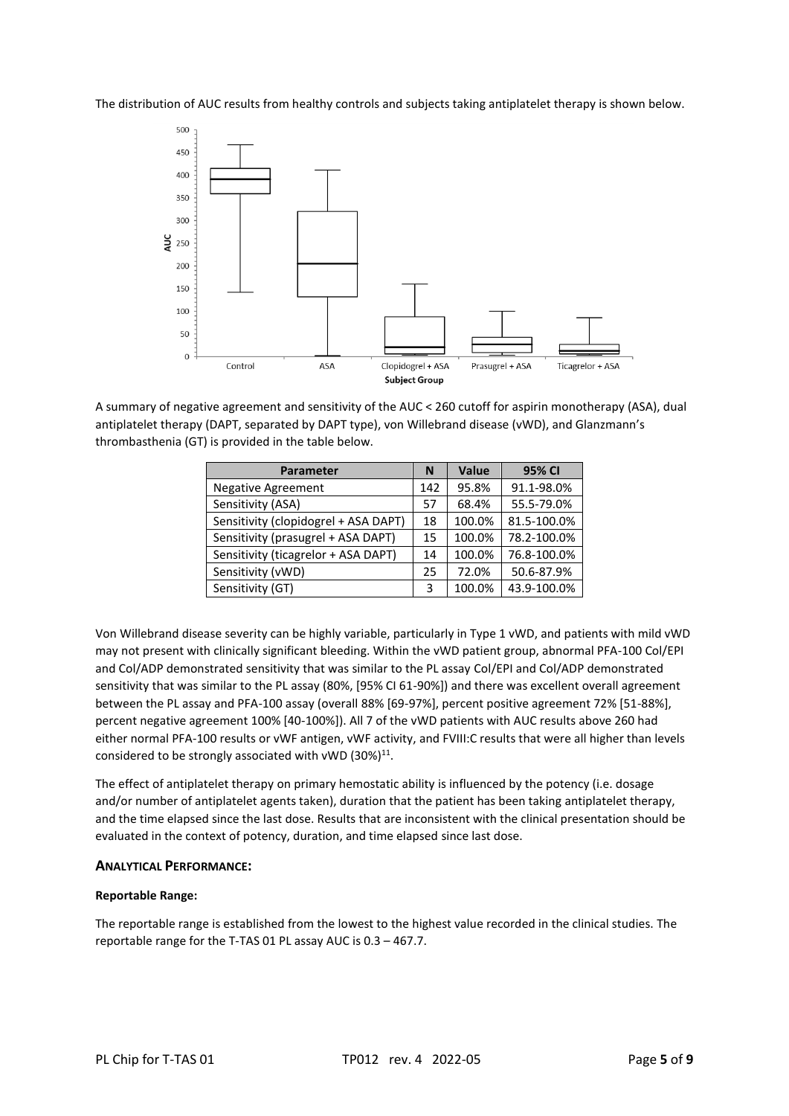The distribution of AUC results from healthy controls and subjects taking antiplatelet therapy is shown below.



A summary of negative agreement and sensitivity of the AUC < 260 cutoff for aspirin monotherapy (ASA), dual antiplatelet therapy (DAPT, separated by DAPT type), von Willebrand disease (vWD), and Glanzmann's thrombasthenia (GT) is provided in the table below.

| <b>Parameter</b>                     | N   | Value  | 95% CI      |
|--------------------------------------|-----|--------|-------------|
| <b>Negative Agreement</b>            | 142 | 95.8%  | 91.1-98.0%  |
| Sensitivity (ASA)                    | 57  | 68.4%  | 55.5-79.0%  |
| Sensitivity (clopidogrel + ASA DAPT) | 18  | 100.0% | 81.5-100.0% |
| Sensitivity (prasugrel + ASA DAPT)   | 15  | 100.0% | 78.2-100.0% |
| Sensitivity (ticagrelor + ASA DAPT)  | 14  | 100.0% | 76.8-100.0% |
| Sensitivity (vWD)                    | 25  | 72.0%  | 50.6-87.9%  |
| Sensitivity (GT)                     | 3   | 100.0% | 43.9-100.0% |

Von Willebrand disease severity can be highly variable, particularly in Type 1 vWD, and patients with mild vWD may not present with clinically significant bleeding. Within the vWD patient group, abnormal PFA-100 Col/EPI and Col/ADP demonstrated sensitivity that was similar to the PL assay Col/EPI and Col/ADP demonstrated sensitivity that was similar to the PL assay (80%, [95% CI 61-90%]) and there was excellent overall agreement between the PL assay and PFA-100 assay (overall 88% [69-97%], percent positive agreement 72% [51-88%], percent negative agreement 100% [40-100%]). All 7 of the vWD patients with AUC results above 260 had either normal PFA-100 results or vWF antigen, vWF activity, and FVIII:C results that were all higher than levels considered to be strongly associated with vWD  $(30\%)^{11}$ .

The effect of antiplatelet therapy on primary hemostatic ability is influenced by the potency (i.e. dosage and/or number of antiplatelet agents taken), duration that the patient has been taking antiplatelet therapy, and the time elapsed since the last dose. Results that are inconsistent with the clinical presentation should be evaluated in the context of potency, duration, and time elapsed since last dose.

#### **ANALYTICAL PERFORMANCE:**

#### **Reportable Range:**

The reportable range is established from the lowest to the highest value recorded in the clinical studies. The reportable range for the T-TAS 01 PL assay AUC is 0.3 – 467.7.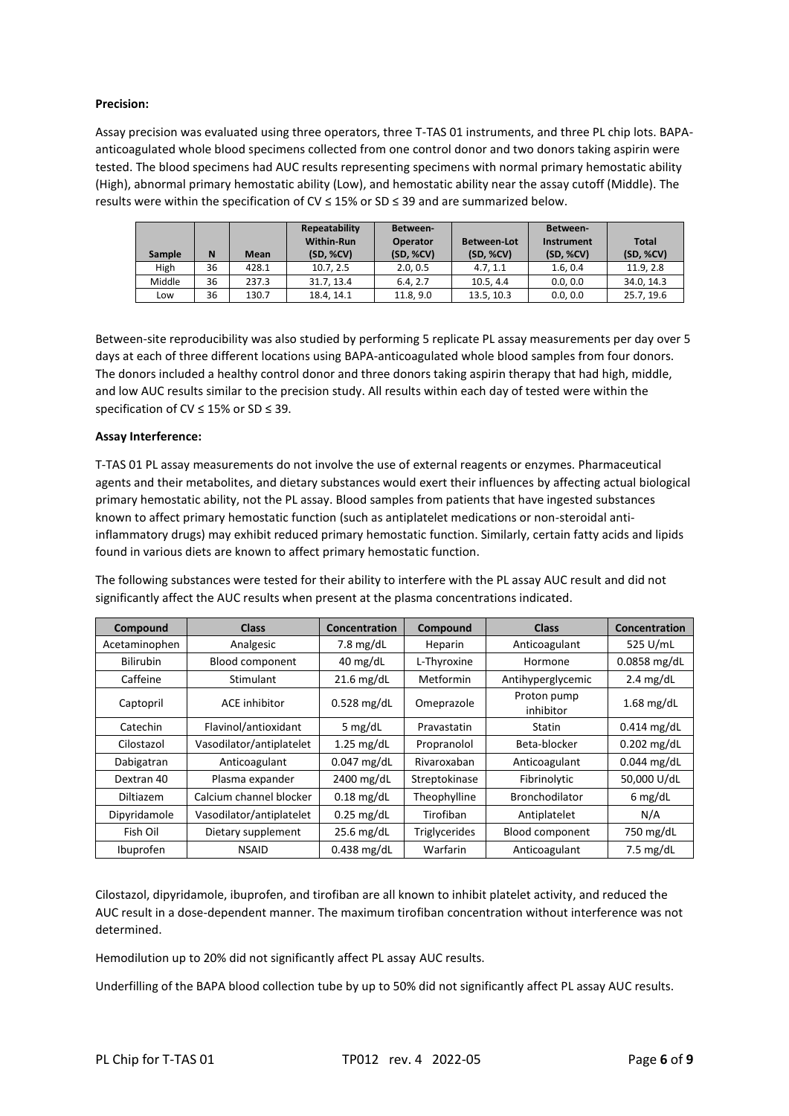#### **Precision:**

Assay precision was evaluated using three operators, three T-TAS 01 instruments, and three PL chip lots. BAPAanticoagulated whole blood specimens collected from one control donor and two donors taking aspirin were tested. The blood specimens had AUC results representing specimens with normal primary hemostatic ability (High), abnormal primary hemostatic ability (Low), and hemostatic ability near the assay cutoff (Middle). The results were within the specification of CV  $\leq$  15% or SD  $\leq$  39 and are summarized below.

| <b>Sample</b> | N  | <b>Mean</b> | Repeatability<br><b>Within-Run</b><br>(SD, %CV) | Between-<br><b>Operator</b><br>(SD, %CV) | <b>Between-Lot</b><br>(SD, %CV) | Between-<br><b>Instrument</b><br>(SD, %CV) | <b>Total</b><br>(SD, %CV) |
|---------------|----|-------------|-------------------------------------------------|------------------------------------------|---------------------------------|--------------------------------------------|---------------------------|
| High          | 36 | 428.1       | 10.7.2.5                                        | 2.0.0.5                                  | 4.7.11                          | 1.6.0.4                                    | 11.9.2.8                  |
| Middle        | 36 | 237.3       | 31.7.13.4                                       | 6.4.2.7                                  | 10.5.4.4                        | 0.0.0.0                                    | 34.0.14.3                 |
| LOW           | 36 | 130.7       | 18.4.14.1                                       | 11.8, 9.0                                | 13.5, 10.3                      | 0.0.0.0                                    | 25.7.19.6                 |

Between-site reproducibility was also studied by performing 5 replicate PL assay measurements per day over 5 days at each of three different locations using BAPA-anticoagulated whole blood samples from four donors. The donors included a healthy control donor and three donors taking aspirin therapy that had high, middle, and low AUC results similar to the precision study. All results within each day of tested were within the specification of CV ≤ 15% or SD ≤ 39.

#### **Assay Interference:**

T-TAS 01 PL assay measurements do not involve the use of external reagents or enzymes. Pharmaceutical agents and their metabolites, and dietary substances would exert their influences by affecting actual biological primary hemostatic ability, not the PL assay. Blood samples from patients that have ingested substances known to affect primary hemostatic function (such as antiplatelet medications or non-steroidal antiinflammatory drugs) may exhibit reduced primary hemostatic function. Similarly, certain fatty acids and lipids found in various diets are known to affect primary hemostatic function.

The following substances were tested for their ability to interfere with the PL assay AUC result and did not significantly affect the AUC results when present at the plasma concentrations indicated.

| Compound         | <b>Class</b>             | Concentration      | Compound             | <b>Class</b>             | Concentration       |
|------------------|--------------------------|--------------------|----------------------|--------------------------|---------------------|
| Acetaminophen    | Analgesic                | 7.8 $mg/dL$        | Heparin              | Anticoagulant            | 525 U/mL            |
| <b>Bilirubin</b> | <b>Blood component</b>   | $40 \text{ mg/dL}$ | L-Thyroxine          | Hormone                  | $0.0858$ mg/dL      |
| Caffeine         | Stimulant                | $21.6$ mg/dL       | Metformin            | Antihyperglycemic        | $2.4 \text{ mg/dL}$ |
| Captopril        | <b>ACE</b> inhibitor     | $0.528$ mg/dL      | Omeprazole           | Proton pump<br>inhibitor | $1.68$ mg/dL        |
| Catechin         | Flavinol/antioxidant     | 5 $mg/dL$          | Pravastatin          | Statin                   | $0.414$ mg/dL       |
| Cilostazol       | Vasodilator/antiplatelet | $1.25$ mg/dL       | Propranolol          | Beta-blocker             | $0.202$ mg/dL       |
| Dabigatran       | Anticoagulant            | $0.047$ mg/dL      | Rivaroxaban          | Anticoagulant            | $0.044$ mg/dL       |
| Dextran 40       | Plasma expander          | 2400 mg/dL         | Streptokinase        | Fibrinolytic             | 50,000 U/dL         |
| <b>Diltiazem</b> | Calcium channel blocker  | $0.18$ mg/dL       | Theophylline         | <b>Bronchodilator</b>    | $6$ mg/dL           |
| Dipyridamole     | Vasodilator/antiplatelet | $0.25$ mg/dL       | Tirofiban            | Antiplatelet             | N/A                 |
| Fish Oil         | Dietary supplement       | $25.6$ mg/dL       | <b>Triglycerides</b> | <b>Blood component</b>   | 750 mg/dL           |
| Ibuprofen        | <b>NSAID</b>             | $0.438$ mg/dL      | Warfarin             | Anticoagulant            | $7.5 \text{ mg/dL}$ |

Cilostazol, dipyridamole, ibuprofen, and tirofiban are all known to inhibit platelet activity, and reduced the AUC result in a dose-dependent manner. The maximum tirofiban concentration without interference was not determined.

Hemodilution up to 20% did not significantly affect PL assay AUC results.

Underfilling of the BAPA blood collection tube by up to 50% did not significantly affect PL assay AUC results.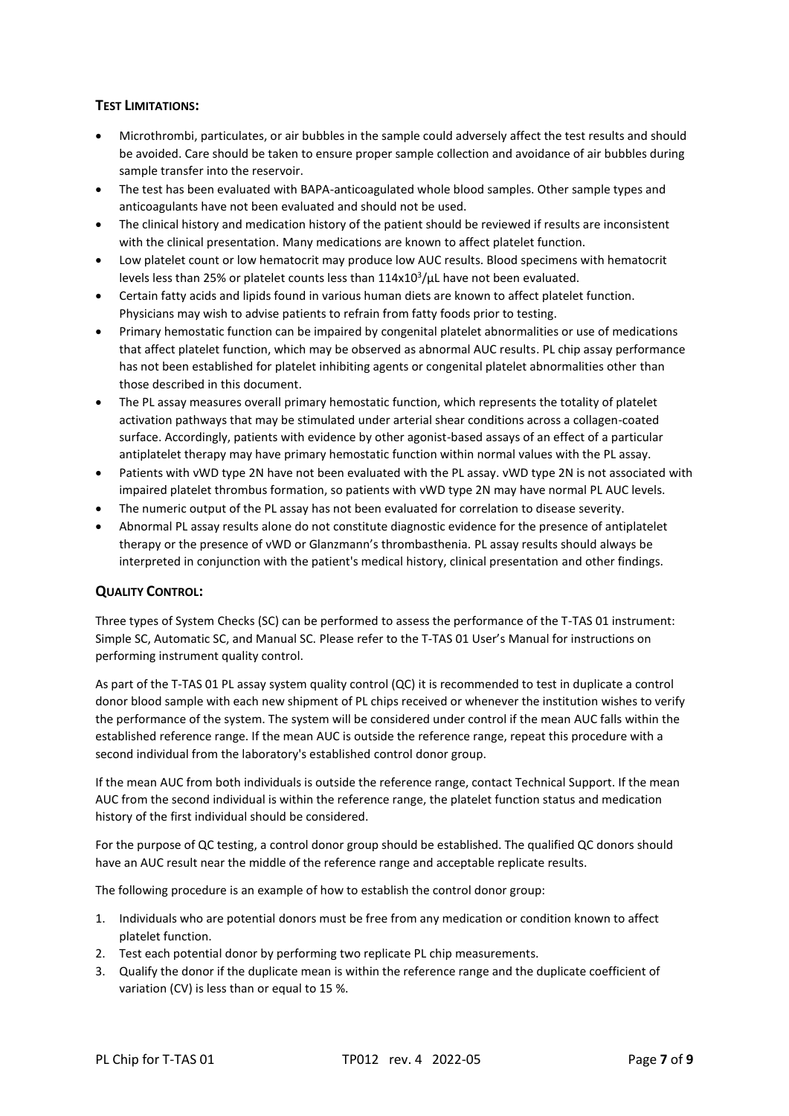# **TEST LIMITATIONS:**

- Microthrombi, particulates, or air bubbles in the sample could adversely affect the test results and should be avoided. Care should be taken to ensure proper sample collection and avoidance of air bubbles during sample transfer into the reservoir.
- The test has been evaluated with BAPA-anticoagulated whole blood samples. Other sample types and anticoagulants have not been evaluated and should not be used.
- The clinical history and medication history of the patient should be reviewed if results are inconsistent with the clinical presentation. Many medications are known to affect platelet function.
- Low platelet count or low hematocrit may produce low AUC results. Blood specimens with hematocrit levels less than 25% or platelet counts less than 114x10<sup>3</sup>/μL have not been evaluated.
- Certain fatty acids and lipids found in various human diets are known to affect platelet function. Physicians may wish to advise patients to refrain from fatty foods prior to testing.
- Primary hemostatic function can be impaired by congenital platelet abnormalities or use of medications that affect platelet function, which may be observed as abnormal AUC results. PL chip assay performance has not been established for platelet inhibiting agents or congenital platelet abnormalities other than those described in this document.
- The PL assay measures overall primary hemostatic function, which represents the totality of platelet activation pathways that may be stimulated under arterial shear conditions across a collagen-coated surface. Accordingly, patients with evidence by other agonist-based assays of an effect of a particular antiplatelet therapy may have primary hemostatic function within normal values with the PL assay.
- Patients with vWD type 2N have not been evaluated with the PL assay. vWD type 2N is not associated with impaired platelet thrombus formation, so patients with vWD type 2N may have normal PL AUC levels.
- The numeric output of the PL assay has not been evaluated for correlation to disease severity.
- Abnormal PL assay results alone do not constitute diagnostic evidence for the presence of antiplatelet therapy or the presence of vWD or Glanzmann's thrombasthenia. PL assay results should always be interpreted in conjunction with the patient's medical history, clinical presentation and other findings.

# **QUALITY CONTROL:**

Three types of System Checks (SC) can be performed to assess the performance of the T-TAS 01 instrument: Simple SC, Automatic SC, and Manual SC. Please refer to the T-TAS 01 User's Manual for instructions on performing instrument quality control.

As part of the T-TAS 01 PL assay system quality control (QC) it is recommended to test in duplicate a control donor blood sample with each new shipment of PL chips received or whenever the institution wishes to verify the performance of the system. The system will be considered under control if the mean AUC falls within the established reference range. If the mean AUC is outside the reference range, repeat this procedure with a second individual from the laboratory's established control donor group.

If the mean AUC from both individuals is outside the reference range, contact Technical Support. If the mean AUC from the second individual is within the reference range, the platelet function status and medication history of the first individual should be considered.

For the purpose of QC testing, a control donor group should be established. The qualified QC donors should have an AUC result near the middle of the reference range and acceptable replicate results.

The following procedure is an example of how to establish the control donor group:

- 1. Individuals who are potential donors must be free from any medication or condition known to affect platelet function.
- 2. Test each potential donor by performing two replicate PL chip measurements.
- 3. Qualify the donor if the duplicate mean is within the reference range and the duplicate coefficient of variation (CV) is less than or equal to 15 %.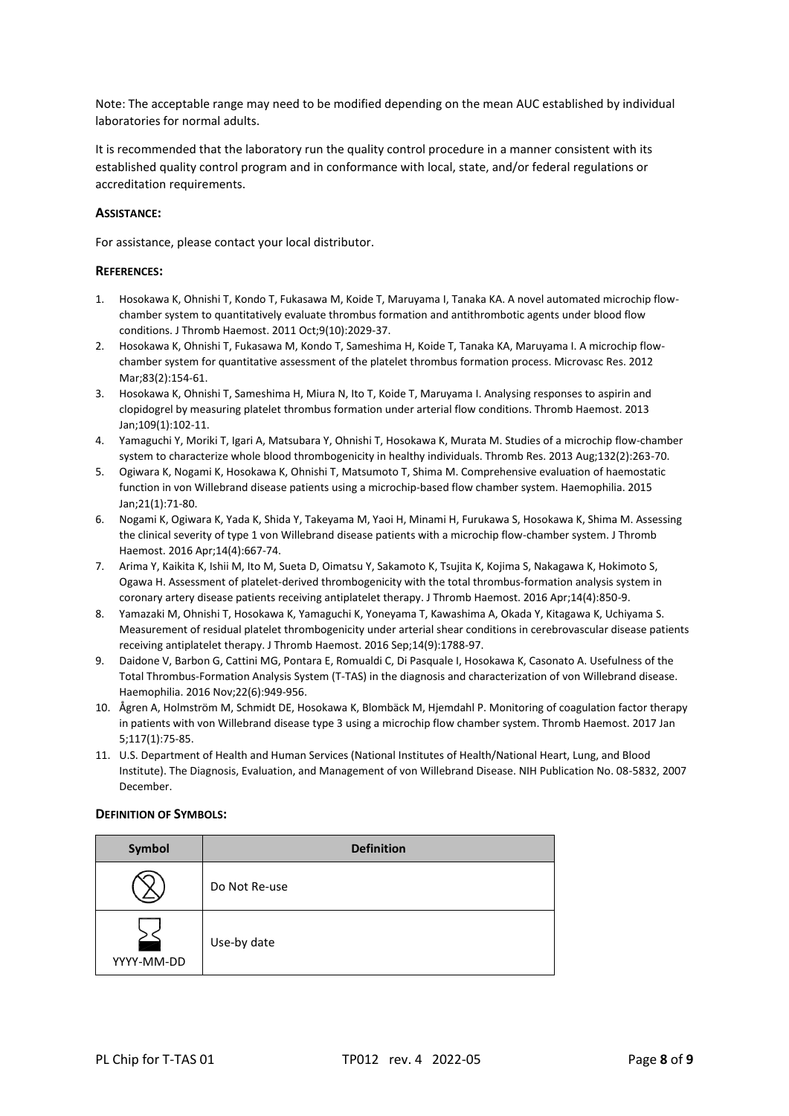Note: The acceptable range may need to be modified depending on the mean AUC established by individual laboratories for normal adults.

It is recommended that the laboratory run the quality control procedure in a manner consistent with its established quality control program and in conformance with local, state, and/or federal regulations or accreditation requirements.

#### **ASSISTANCE:**

For assistance, please contact your local distributor.

#### **REFERENCES:**

- 1. Hosokawa K, Ohnishi T, Kondo T, Fukasawa M, Koide T, Maruyama I, Tanaka KA. A novel automated microchip flowchamber system to quantitatively evaluate thrombus formation and antithrombotic agents under blood flow conditions. J Thromb Haemost. 2011 Oct;9(10):2029-37.
- 2. Hosokawa K, Ohnishi T, Fukasawa M, Kondo T, Sameshima H, Koide T, Tanaka KA, Maruyama I. A microchip flowchamber system for quantitative assessment of the platelet thrombus formation process. Microvasc Res. 2012 Mar;83(2):154-61.
- 3. Hosokawa K, Ohnishi T, Sameshima H, Miura N, Ito T, Koide T, Maruyama I. Analysing responses to aspirin and clopidogrel by measuring platelet thrombus formation under arterial flow conditions. Thromb Haemost. 2013 Jan;109(1):102-11.
- 4. Yamaguchi Y, Moriki T, Igari A, Matsubara Y, Ohnishi T, Hosokawa K, Murata M. Studies of a microchip flow-chamber system to characterize whole blood thrombogenicity in healthy individuals. Thromb Res. 2013 Aug;132(2):263-70.
- 5. Ogiwara K, Nogami K, Hosokawa K, Ohnishi T, Matsumoto T, Shima M. Comprehensive evaluation of haemostatic function in von Willebrand disease patients using a microchip-based flow chamber system. Haemophilia. 2015 Jan;21(1):71-80.
- 6. Nogami K, Ogiwara K, Yada K, Shida Y, Takeyama M, Yaoi H, Minami H, Furukawa S, Hosokawa K, Shima M. Assessing the clinical severity of type 1 von Willebrand disease patients with a microchip flow-chamber system. J Thromb Haemost. 2016 Apr;14(4):667-74.
- 7. Arima Y, Kaikita K, Ishii M, Ito M, Sueta D, Oimatsu Y, Sakamoto K, Tsujita K, Kojima S, Nakagawa K, Hokimoto S, Ogawa H. Assessment of platelet-derived thrombogenicity with the total thrombus-formation analysis system in coronary artery disease patients receiving antiplatelet therapy. J Thromb Haemost. 2016 Apr;14(4):850-9.
- 8. Yamazaki M, Ohnishi T, Hosokawa K, Yamaguchi K, Yoneyama T, Kawashima A, Okada Y, Kitagawa K, Uchiyama S. Measurement of residual platelet thrombogenicity under arterial shear conditions in cerebrovascular disease patients receiving antiplatelet therapy. J Thromb Haemost. 2016 Sep;14(9):1788-97.
- 9. Daidone V, Barbon G, Cattini MG, Pontara E, Romualdi C, Di Pasquale I, Hosokawa K, Casonato A. Usefulness of the Total Thrombus-Formation Analysis System (T-TAS) in the diagnosis and characterization of von Willebrand disease. Haemophilia. 2016 Nov;22(6):949-956.
- 10. Ågren A, Holmström M, Schmidt DE, Hosokawa K, Blombäck M, Hjemdahl P. Monitoring of coagulation factor therapy in patients with von Willebrand disease type 3 using a microchip flow chamber system. Thromb Haemost. 2017 Jan 5;117(1):75-85.
- 11. U.S. Department of Health and Human Services (National Institutes of Health/National Heart, Lung, and Blood Institute). The Diagnosis, Evaluation, and Management of von Willebrand Disease. NIH Publication No. 08-5832, 2007 December.

#### **DEFINITION OF SYMBOLS:**

| Symbol     | <b>Definition</b> |
|------------|-------------------|
|            | Do Not Re-use     |
| YYYY-MM-DD | Use-by date       |